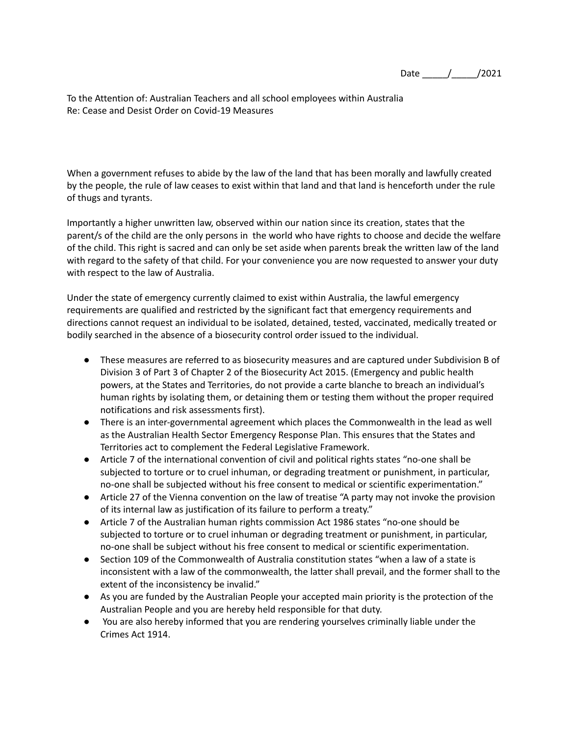Date \_\_\_\_\_/\_\_\_\_\_/2021

To the Attention of: Australian Teachers and all school employees within Australia Re: Cease and Desist Order on Covid-19 Measures

When a government refuses to abide by the law of the land that has been morally and lawfully created by the people, the rule of law ceases to exist within that land and that land is henceforth under the rule of thugs and tyrants.

Importantly a higher unwritten law, observed within our nation since its creation, states that the parent/s of the child are the only persons in the world who have rights to choose and decide the welfare of the child. This right is sacred and can only be set aside when parents break the written law of the land with regard to the safety of that child. For your convenience you are now requested to answer your duty with respect to the law of Australia.

Under the state of emergency currently claimed to exist within Australia, the lawful emergency requirements are qualified and restricted by the significant fact that emergency requirements and directions cannot request an individual to be isolated, detained, tested, vaccinated, medically treated or bodily searched in the absence of a biosecurity control order issued to the individual.

- These measures are referred to as biosecurity measures and are captured under Subdivision B of Division 3 of Part 3 of Chapter 2 of the Biosecurity Act 2015. (Emergency and public health powers, at the States and Territories, do not provide a carte blanche to breach an individual's human rights by isolating them, or detaining them or testing them without the proper required notifications and risk assessments first).
- There is an inter-governmental agreement which places the Commonwealth in the lead as well as the Australian Health Sector Emergency Response Plan. This ensures that the States and Territories act to complement the Federal Legislative Framework.
- Article 7 of the international convention of civil and political rights states "no-one shall be subjected to torture or to cruel inhuman, or degrading treatment or punishment, in particular, no-one shall be subjected without his free consent to medical or scientific experimentation."
- Article 27 of the Vienna convention on the law of treatise "A party may not invoke the provision of its internal law as justification of its failure to perform a treaty."
- Article 7 of the Australian human rights commission Act 1986 states "no-one should be subjected to torture or to cruel inhuman or degrading treatment or punishment, in particular, no-one shall be subject without his free consent to medical or scientific experimentation.
- Section 109 of the Commonwealth of Australia constitution states "when a law of a state is inconsistent with a law of the commonwealth, the latter shall prevail, and the former shall to the extent of the inconsistency be invalid."
- As you are funded by the Australian People your accepted main priority is the protection of the Australian People and you are hereby held responsible for that duty.
- You are also hereby informed that you are rendering yourselves criminally liable under the Crimes Act 1914.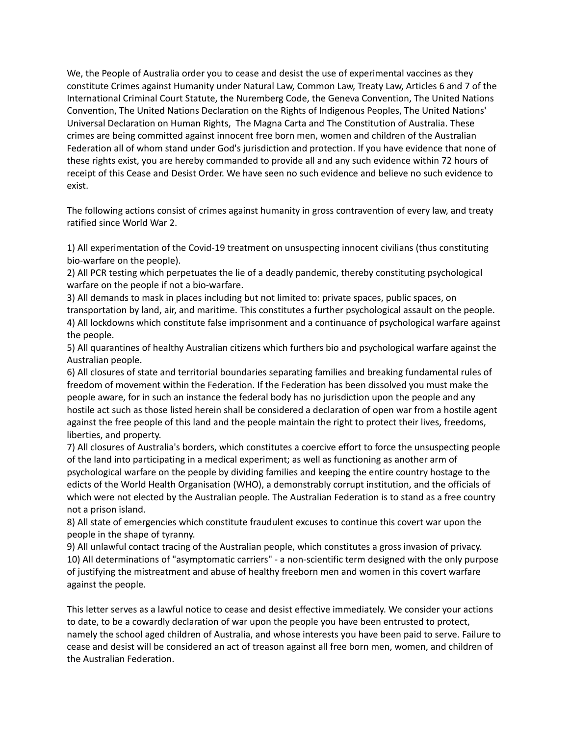We, the People of Australia order you to cease and desist the use of experimental vaccines as they constitute Crimes against Humanity under Natural Law, Common Law, Treaty Law, Articles 6 and 7 of the International Criminal Court Statute, the Nuremberg Code, the Geneva Convention, The United Nations Convention, The United Nations Declaration on the Rights of Indigenous Peoples, The United Nations' Universal Declaration on Human Rights, The Magna Carta and The Constitution of Australia. These crimes are being committed against innocent free born men, women and children of the Australian Federation all of whom stand under God's jurisdiction and protection. If you have evidence that none of these rights exist, you are hereby commanded to provide all and any such evidence within 72 hours of receipt of this Cease and Desist Order. We have seen no such evidence and believe no such evidence to exist.

The following actions consist of crimes against humanity in gross contravention of every law, and treaty ratified since World War 2.

1) All experimentation of the Covid-19 treatment on unsuspecting innocent civilians (thus constituting bio-warfare on the people).

2) All PCR testing which perpetuates the lie of a deadly pandemic, thereby constituting psychological warfare on the people if not a bio-warfare.

3) All demands to mask in places including but not limited to: private spaces, public spaces, on transportation by land, air, and maritime. This constitutes a further psychological assault on the people. 4) All lockdowns which constitute false imprisonment and a continuance of psychological warfare against the people.

5) All quarantines of healthy Australian citizens which furthers bio and psychological warfare against the Australian people.

6) All closures of state and territorial boundaries separating families and breaking fundamental rules of freedom of movement within the Federation. If the Federation has been dissolved you must make the people aware, for in such an instance the federal body has no jurisdiction upon the people and any hostile act such as those listed herein shall be considered a declaration of open war from a hostile agent against the free people of this land and the people maintain the right to protect their lives, freedoms, liberties, and property.

7) All closures of Australia's borders, which constitutes a coercive effort to force the unsuspecting people of the land into participating in a medical experiment; as well as functioning as another arm of psychological warfare on the people by dividing families and keeping the entire country hostage to the edicts of the World Health Organisation (WHO), a demonstrably corrupt institution, and the officials of which were not elected by the Australian people. The Australian Federation is to stand as a free country not a prison island.

8) All state of emergencies which constitute fraudulent excuses to continue this covert war upon the people in the shape of tyranny.

9) All unlawful contact tracing of the Australian people, which constitutes a gross invasion of privacy. 10) All determinations of "asymptomatic carriers" - a non-scientific term designed with the only purpose of justifying the mistreatment and abuse of healthy freeborn men and women in this covert warfare against the people.

This letter serves as a lawful notice to cease and desist effective immediately. We consider your actions to date, to be a cowardly declaration of war upon the people you have been entrusted to protect, namely the school aged children of Australia, and whose interests you have been paid to serve. Failure to cease and desist will be considered an act of treason against all free born men, women, and children of the Australian Federation.